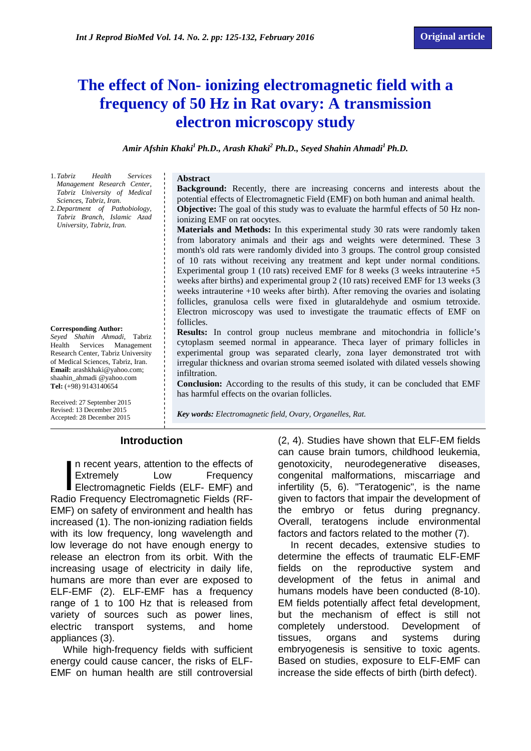# **The effect of Non- ionizing electromagnetic field with a frequency of 50 Hz in Rat ovary: A transmission electron microscopy study**

*Amir Afshin Khaki1 Ph.D., Arash Khaki2 Ph.D., Seyed Shahin Ahmadi1 Ph.D.*

1.*Tabriz Health Services Management Research Center, Tabriz University of Medical Sciences, Tabriz, Iran.* 

2.*Department of Pathobiology, Tabriz Branch, Islamic Azad University, Tabriz, Iran.*

#### **Corresponding Author:**

*Seyed Shahin Ahmadi,* Tabriz Management Research Center, Tabriz University of Medical Sciences, Tabriz, Iran. **Email:** [arashkhaki@yahoo.com;](mailto:arashkhaki@yahoo.com) shaahin\_ahmadi @yahoo.com **Tel:** (+98) 9143140654

Received: 27 September 2015 Revised: 13 December 2015 Accepted: 28 December 2015

#### **Abstract**

**Background:** Recently, there are increasing concerns and interests about the potential effects of Electromagnetic Field (EMF) on both human and animal health. **Objective:** The goal of this study was to evaluate the harmful effects of 50 Hz nonionizing EMF on rat oocytes.

**Materials and Methods:** In this experimental study 30 rats were randomly taken from laboratory animals and their ags and weights were determined. These 3 month's old rats were randomly divided into 3 groups. The control group consisted of 10 rats without receiving any treatment and kept under normal conditions. Experimental group 1 (10 rats) received EMF for 8 weeks (3 weeks intrauterine  $+5$ weeks after births) and experimental group 2 (10 rats) received EMF for 13 weeks (3 weeks intrauterine +10 weeks after birth). After removing the ovaries and isolating follicles, granulosa cells were fixed in glutaraldehyde and osmium tetroxide. Electron microscopy was used to investigate the traumatic effects of EMF on follicles.

**Results:** In control group nucleus membrane and mitochondria in follicle's cytoplasm seemed normal in appearance. Theca layer of primary follicles in experimental group was separated clearly, zona layer demonstrated trot with irregular thickness and ovarian stroma seemed isolated with dilated vessels showing infiltration.

**Conclusion:** According to the results of this study, it can be concluded that EMF has harmful effects on the ovarian follicles.

*Key words: Electromagnetic field, Ovary, Organelles, Rat.*

#### **Introduction**

n recent years, attention to the effects of Extremely Low Frequency Electromagnetic Fields (ELF- EMF) and n recent years, attention to the effects of<br>Extremely Low Frequency<br>Electromagnetic Fields (ELF- EMF) and<br>Radio Frequency Electromagnetic Fields (RF-EMF) on safety of environment and health has increased (1). The non-ionizing radiation fields with its low frequency, long wavelength and low leverage do not have enough energy to release an electron from its orbit. With the increasing usage of electricity in daily life, humans are more than ever are exposed to ELF-EMF (2). ELF-EMF has a frequency range of 1 to 100 Hz that is released from variety of sources such as power lines, electric transport systems, and home appliances (3).

While high-frequency fields with sufficient energy could cause cancer, the risks of ELF-EMF on human health are still controversial (2, 4). Studies have shown that ELF-EM fields can cause brain tumors, childhood leukemia, genotoxicity, neurodegenerative diseases, congenital malformations, miscarriage and infertility (5, 6). "Teratogenic", is the name given to factors that impair the development of the embryo or fetus during pregnancy. Overall, teratogens include environmental factors and factors related to the mother (7).

In recent decades, extensive studies to determine the effects of traumatic ELF-EMF fields on the reproductive system and development of the fetus in animal and humans models have been conducted (8-10). EM fields potentially affect fetal development, but the mechanism of effect is still not completely understood. Development of tissues, organs and systems during embryogenesis is sensitive to toxic agents. Based on studies, exposure to ELF-EMF can increase the side effects of birth (birth defect).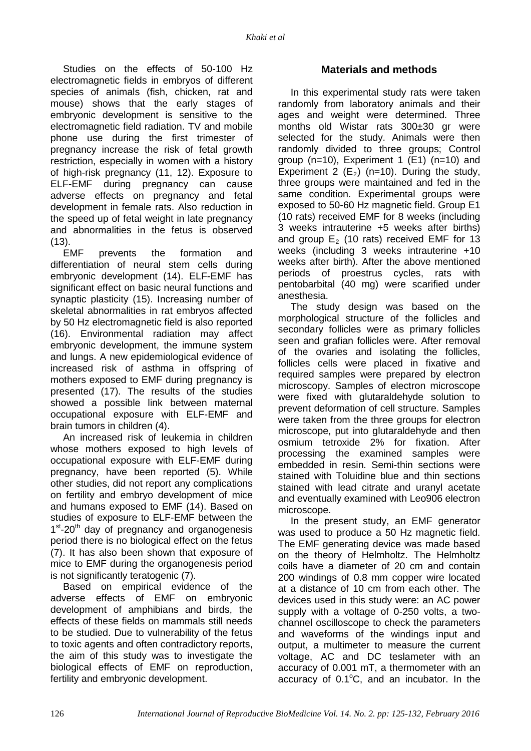Studies on the effects of 50-100 Hz electromagnetic fields in embryos of different species of animals (fish, chicken, rat and mouse) shows that the early stages of embryonic development is sensitive to the electromagnetic field radiation. TV and mobile phone use during the first trimester of pregnancy increase the risk of fetal growth restriction, especially in women with a history of high-risk pregnancy (11, 12). Exposure to ELF-EMF during pregnancy can cause adverse effects on pregnancy and fetal development in female rats. Also reduction in the speed up of fetal weight in late pregnancy and abnormalities in the fetus is observed (13).

EMF prevents the formation and differentiation of neural stem cells during embryonic development (14). ELF-EMF has significant effect on basic neural functions and synaptic plasticity (15). Increasing number of skeletal abnormalities in rat embryos affected by 50 Hz electromagnetic field is also reported (16). Environmental radiation may affect embryonic development, the immune system and lungs. A new epidemiological evidence of increased risk of asthma in offspring of mothers exposed to EMF during pregnancy is presented (17). The results of the studies showed a possible link between maternal occupational exposure with ELF-EMF and brain tumors in children (4).

An increased risk of leukemia in children whose mothers exposed to high levels of occupational exposure with ELF-EMF during pregnancy, have been reported (5). While other studies, did not report any complications on fertility and embryo development of mice and humans exposed to EMF (14). Based on studies of exposure to ELF-EMF between the  $1<sup>st</sup> - 20<sup>th</sup>$  day of pregnancy and organogenesis period there is no biological effect on the fetus (7). It has also been shown that exposure of mice to EMF during the organogenesis period is not significantly teratogenic (7).

Based on empirical evidence of the adverse effects of EMF on embryonic development of amphibians and birds, the effects of these fields on mammals still needs to be studied. Due to vulnerability of the fetus to toxic agents and often contradictory reports, the aim of this study was to investigate the biological effects of EMF on reproduction, fertility and embryonic development.

## **Materials and methods**

In this experimental study rats were taken randomly from laboratory animals and their ages and weight were determined. Three months old Wistar rats 300±30 gr were selected for the study. Animals were then randomly divided to three groups; Control group (n=10), Experiment 1 (E1) (n=10) and Experiment 2  $(E_2)$  (n=10). During the study, three groups were maintained and fed in the same condition. Experimental groups were exposed to 50-60 Hz magnetic field. Group E1 (10 rats) received EMF for 8 weeks (including 3 weeks intrauterine +5 weeks after births) and group E<sub>2</sub> (10 rats) received EMF for 13 weeks (including 3 weeks intrauterine +10 weeks after birth). After the above mentioned periods of proestrus cycles, rats with pentobarbital (40 mg) were scarified under anesthesia.

The study design was based on the morphological structure of the follicles and secondary follicles were as primary follicles seen and grafian follicles were. After removal of the ovaries and isolating the follicles, follicles cells were placed in fixative and required samples were prepared by electron microscopy. Samples of electron microscope were fixed with glutaraldehyde solution to prevent deformation of cell structure. Samples were taken from the three groups for electron microscope, put into glutaraldehyde and then osmium tetroxide 2% for fixation. After processing the examined samples were embedded in resin. Semi-thin sections were stained with Toluidine blue and thin sections stained with lead citrate and uranyl acetate and eventually examined with Leo906 electron microscope.

In the present study, an EMF generator was used to produce a 50 Hz magnetic field. The EMF generating device was made based on the theory of Helmholtz. The Helmholtz coils have a diameter of 20 cm and contain 200 windings of 0.8 mm copper wire located at a distance of 10 cm from each other. The devices used in this study were: an AC power supply with a voltage of 0-250 volts, a twochannel oscilloscope to check the parameters and waveforms of the windings input and output, a multimeter to measure the current voltage, AC and DC teslameter with an accuracy of 0.001 mT, a thermometer with an accuracy of 0.1°C, and an incubator. In the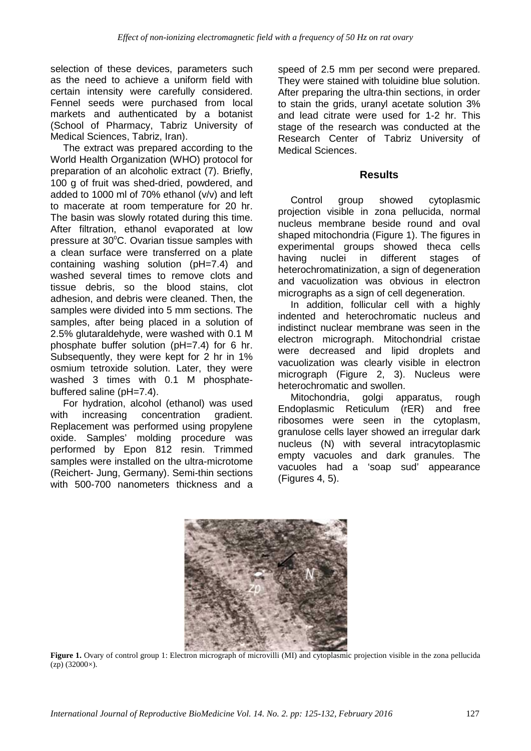selection of these devices, parameters such as the need to achieve a uniform field with certain intensity were carefully considered. Fennel seeds were purchased from local markets and authenticated by a botanist (School of Pharmacy, Tabriz University of Medical Sciences, Tabriz, Iran).

The extract was prepared according to the World Health Organization (WHO) protocol for preparation of an alcoholic extract (7). Briefly, 100 g of fruit was shed-dried, powdered, and added to 1000 ml of 70% ethanol (v/v) and left to macerate at room temperature for 20 hr. The basin was slowly rotated during this time. After filtration, ethanol evaporated at low pressure at 30°C. Ovarian tissue samples with a clean surface were transferred on a plate containing washing solution (pH=7.4) and washed several times to remove clots and tissue debris, so the blood stains, clot adhesion, and debris were cleaned. Then, the samples were divided into 5 mm sections. The samples, after being placed in a solution of 2.5% glutaraldehyde, were washed with 0.1 M phosphate buffer solution (pH=7.4) for 6 hr. Subsequently, they were kept for 2 hr in 1% osmium tetroxide solution. Later, they were washed 3 times with 0.1 M phosphatebuffered saline (pH=7.4).

For hydration, alcohol (ethanol) was used with increasing concentration gradient. Replacement was performed using propylene oxide. Samples' molding procedure was performed by Epon 812 resin. Trimmed samples were installed on the ultra-microtome (Reichert- Jung, Germany). Semi-thin sections with 500-700 nanometers thickness and a

speed of 2.5 mm per second were prepared. They were stained with toluidine blue solution. After preparing the ultra-thin sections, in order to stain the grids, uranyl acetate solution 3% and lead citrate were used for 1-2 hr. This stage of the research was conducted at the Research Center of Tabriz University of Medical Sciences.

#### **Results**

Control group showed cytoplasmic projection visible in zona pellucida, normal nucleus membrane beside round and oval shaped mitochondria (Figure 1). The figures in experimental groups showed theca cells having nuclei in different stages of heterochromatinization, a sign of degeneration and vacuolization was obvious in electron micrographs as a sign of cell degeneration.

In addition, follicular cell with a highly indented and heterochromatic nucleus and indistinct nuclear membrane was seen in the electron micrograph. Mitochondrial cristae were decreased and lipid droplets and vacuolization was clearly visible in electron micrograph (Figure 2, 3). Nucleus were heterochromatic and swollen.

Mitochondria, golgi apparatus, rough Endoplasmic Reticulum (rER) and free ribosomes were seen in the cytoplasm, granulose cells layer showed an irregular dark nucleus (N) with several intracytoplasmic empty vacuoles and dark granules. The vacuoles had a 'soap sud' appearance (Figures 4, 5).



**Figure 1.** Ovary of control group 1: Electron micrograph of microvilli (MI) and cytoplasmic projection visible in the zona pellucida (zp) (32000×).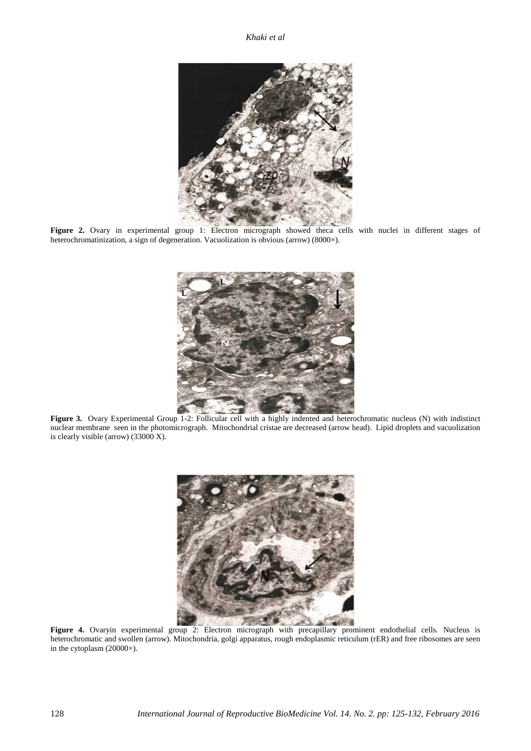*Khaki et al*



**Figure 2.** Ovary in experimental group 1: Electron micrograph showed theca cells with nuclei in different stages of heterochromatinization, a sign of degeneration. Vacuolization is obvious (arrow) (8000 $\times$ ).



**Figure 3.** Ovary Experimental Group 1-2: Follicular cell with a highly indented and heterochromatic nucleus (N) with indistinct nuclear membrane seen in the photomicrograph. Mitochondrial cristae are decreased (arrow head). Lipid droplets and vacuolization is clearly visible (arrow) (33000 $\overline{X}$ ).



Figure 4. Ovaryin experimental group 2: Electron micrograph with precapillary prominent endothelial cells. Nucleus is heterochromatic and swollen (arrow). Mitochondria, golgi apparatus, rough endoplasmic reticulum (rER) and free ribosomes are seen in the cytoplasm (20000×).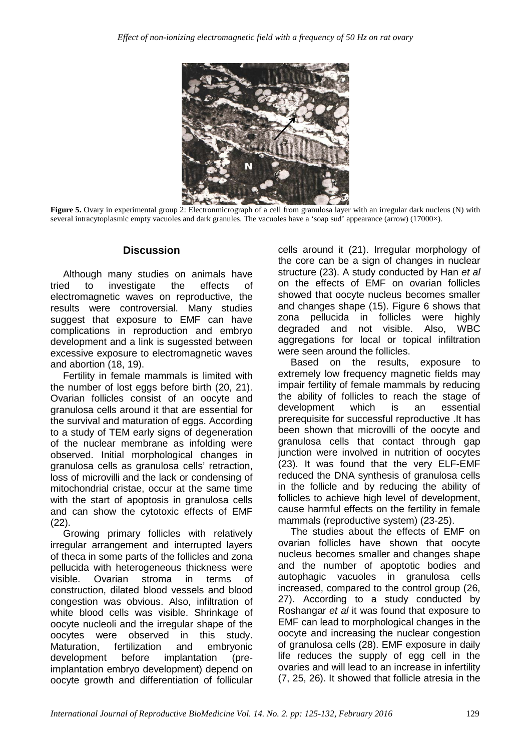

**Figure 5.** Ovary in experimental group 2: Electronmicrograph of a cell from granulosa layer with an irregular dark nucleus (N) with several intracytoplasmic empty vacuoles and dark granules. The vacuoles have a 'soap sud' appearance (arrow) (17000×).

#### **Discussion**

Although many studies on animals have tried to investigate the effects of electromagnetic waves on reproductive, the results were controversial. Many studies suggest that exposure to EMF can have complications in reproduction and embryo development and a link is sugessted between excessive exposure to electromagnetic waves and abortion (18, 19).

Fertility in female mammals is limited with the number of lost eggs before birth (20, 21). Ovarian follicles consist of an oocyte and granulosa cells around it that are essential for the survival and maturation of eggs. According to a study of TEM early signs of degeneration of the nuclear membrane as infolding were observed. Initial morphological changes in granulosa cells as granulosa cells' retraction, loss of microvilli and the lack or condensing of mitochondrial cristae, occur at the same time with the start of apoptosis in granulosa cells and can show the cytotoxic effects of EMF (22).

Growing primary follicles with relatively irregular arrangement and interrupted layers of theca in some parts of the follicles and zona pellucida with heterogeneous thickness were visible. Ovarian stroma in terms of construction, dilated blood vessels and blood congestion was obvious. Also, infiltration of white blood cells was visible. Shrinkage of oocyte nucleoli and the irregular shape of the oocytes were observed in this study. Maturation, fertilization and embryonic development before implantation (preimplantation embryo development) depend on oocyte growth and differentiation of follicular cells around it (21). Irregular morphology of the core can be a sign of changes in nuclear structure (23). A study conducted by Han *et al* on the effects of EMF on ovarian follicles showed that oocyte nucleus becomes smaller and changes shape (15). Figure 6 shows that zona pellucida in follicles were highly degraded and not visible. Also, WBC aggregations for local or topical infiltration were seen around the follicles.

Based on the results, exposure to extremely low frequency magnetic fields may impair fertility of female mammals by reducing the ability of follicles to reach the stage of development which is an essential prerequisite for successful reproductive .It has been shown that microvilli of the oocyte and granulosa cells that contact through gap junction were involved in nutrition of oocytes (23). It was found that the very ELF-EMF reduced the DNA synthesis of granulosa cells in the follicle and by reducing the ability of follicles to achieve high level of development. cause harmful effects on the fertility in female mammals (reproductive system) (23-25).

The studies about the effects of EMF on ovarian follicles have shown that oocyte nucleus becomes smaller and changes shape and the number of apoptotic bodies and autophagic vacuoles in granulosa cells increased, compared to the control group (26, 27). According to a study conducted by [Roshangar](http://www.ncbi.nlm.nih.gov/pubmed/?term=Roshangar%20L%5BAuthor%5D&cauthor=true&cauthor_uid=24627884) *et al* it was found that exposure to EMF can lead to morphological changes in the oocyte and increasing the nuclear congestion of granulosa cells (28). EMF exposure in daily life reduces the supply of egg cell in the ovaries and will lead to an increase in infertility (7, 25, 26). It showed that follicle atresia in the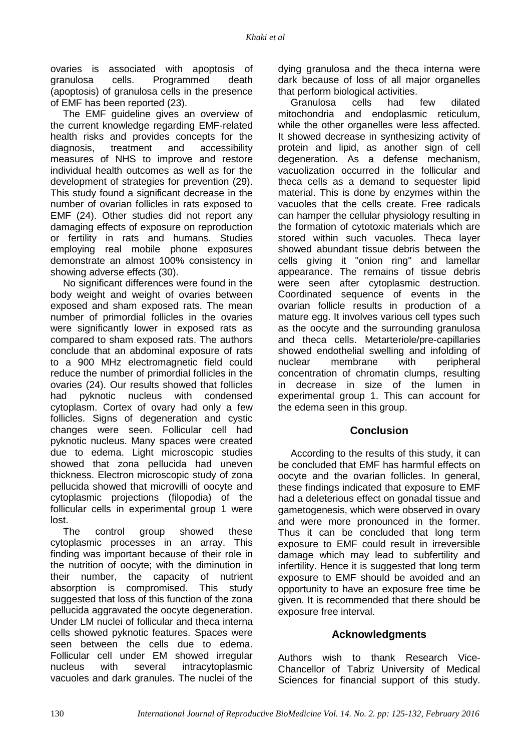ovaries is associated with apoptosis of granulosa cells. Programmed death (apoptosis) of granulosa cells in the presence of EMF has been reported (23).

The EMF guideline gives an overview of the current knowledge regarding EMF-related health risks and provides concepts for the diagnosis, treatment and accessibility measures of NHS to improve and restore individual health outcomes as well as for the development of strategies for prevention (29). This study found a significant decrease in the number of ovarian follicles in rats exposed to EMF (24). Other studies did not report any damaging effects of exposure on reproduction or fertility in rats and humans. Studies employing real mobile phone exposures demonstrate an almost 100% consistency in showing adverse effects (30).

No [significant](javascript:openWindow() differences were found in the body weight and weight of [ovaries](javascript:openWindow() between [exposed](javascript:openWindow() and [sham exposed](javascript:openWindow() [rats.](javascript:openWindow() The [mean](javascript:openWindow() number of primordial [follicles](javascript:openWindow() in the [ovaries](javascript:openWindow() were [significantly](javascript:openWindow() lower in [exposed](javascript:openWindow() [rats](javascript:openWindow() as compared to [sham exposed](javascript:openWindow() [rats.](javascript:openWindow() The authors conclude that an [abdominal](javascript:openWindow() [exposure](javascript:openWindow() of [rats](javascript:openWindow() to a 900 [MHz](javascript:openWindow() [electromagnetic field](javascript:openWindow() could reduce the number of primordial [follicles](javascript:openWindow() in the [ovaries](javascript:openWindow() (24). Our results showed that follicles had pyknotic nucleus with condensed cytoplasm. Cortex of ovary had only a few follicles. Signs of degeneration and cystic changes were seen. Follicular cell had pyknotic nucleus. Many spaces were created due to edema. Light microscopic studies showed that zona pellucida had uneven thickness. Electron microscopic study of zona pellucida showed that microvilli of oocyte and cytoplasmic projections (filopodia) of the follicular cells in experimental group 1 were lost.

The control group showed these cytoplasmic processes in an array. This finding was important because of their role in the nutrition of oocyte; with the diminution in their number, the capacity of nutrient absorption is compromised. This study suggested that loss of this function of the zona pellucida aggravated the oocyte degeneration. Under LM nuclei of follicular and theca interna cells showed pyknotic features. Spaces were seen between the cells due to edema. Follicular cell under EM showed irregular nucleus with several intracytoplasmic vacuoles and dark granules. The nuclei of the dying granulosa and the theca interna were dark because of loss of all major organelles that perform biological activities.

Granulosa cells had few dilated mitochondria and endoplasmic reticulum, while the other organelles were less affected. It showed decrease in synthesizing activity of protein and lipid, as another sign of cell degeneration. As a defense mechanism, vacuolization occurred in the follicular and theca cells as a demand to sequester lipid material. This is done by enzymes within the vacuoles that the cells create. Free radicals can hamper the cellular physiology resulting in the formation of cytotoxic materials which are stored within such vacuoles. Theca layer showed abundant tissue debris between the cells giving it "onion ring" and lamellar appearance. The remains of tissue debris were seen after cytoplasmic destruction. Coordinated sequence of events in the ovarian follicle results in production of a mature egg. It involves various cell types such as the oocyte and the surrounding granulosa and theca cells. Metarteriole/pre-capillaries showed endothelial swelling and infolding of nuclear membrane with peripheral concentration of chromatin clumps, resulting in decrease in size of the lumen in experimental group 1. This can account for the edema seen in this group.

## **Conclusion**

According to the results of this study, it can be concluded that EMF has harmful effects on oocyte and the ovarian follicles. In general, these findings indicated that exposure to EMF had a deleterious effect on gonadal tissue and gametogenesis, which were observed in ovary and were more pronounced in the former. Thus it can be concluded that long term exposure to EMF could result in irreversible damage which may lead to subfertility and infertility. Hence it is suggested that long term exposure to EMF should be avoided and an opportunity to have an exposure free time be given. It is recommended that there should be exposure free interval.

#### **Acknowledgments**

Authors wish to thank Research Vice-Chancellor of Tabriz University of Medical Sciences for financial support of this study.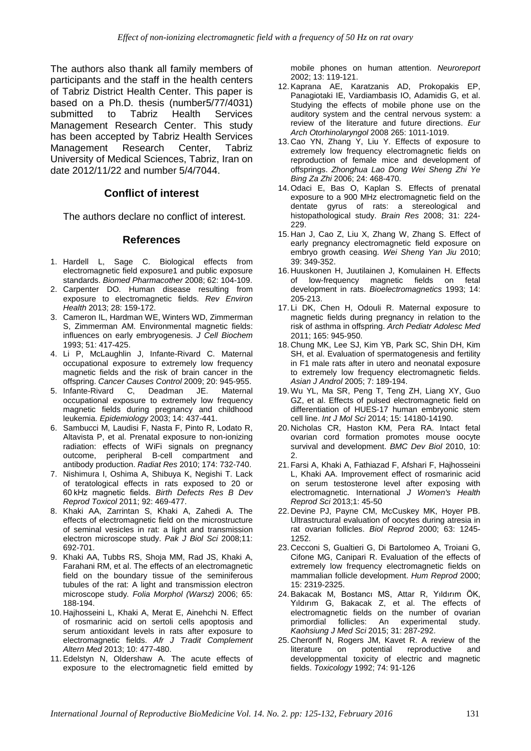The authors also thank all family members of participants and the staff in the health centers of Tabriz District Health Center. This paper is based on a Ph.D. thesis (number5/77/4031) submitted to Tabriz Health Services Management Research Center. This study has been accepted by Tabriz Health Services Management Research Center, Tabriz University of Medical Sciences, Tabriz, Iran on date 2012/11/22 and number 5/4/7044.

## **Conflict of interest**

The authors declare no conflict of interest.

#### **References**

- 1. Hardell L, Sage C. Biological effects from electromagnetic field exposure1 and public exposure standards. *Biomed Pharmacother* 2008; 62: 104-109.
- 2. [Carpenter DO.](http://www.ncbi.nlm.nih.gov/pubmed/?term=Carpenter%20DO%5BAuthor%5D&cauthor=true&cauthor_uid=24280284) Human disease resulting from exposure to electromagnetic fields. *Rev Environ Health* 2013; 28: 159-172.
- 3. [Cameron IL,](http://www.ncbi.nlm.nih.gov/pubmed/?term=Cameron%20IL%5BAuthor%5D&cauthor=true&cauthor_uid=8496244) [Hardman WE,](http://www.ncbi.nlm.nih.gov/pubmed/?term=Hardman%20WE%5BAuthor%5D&cauthor=true&cauthor_uid=8496244) [Winters WD,](http://www.ncbi.nlm.nih.gov/pubmed/?term=Winters%20WD%5BAuthor%5D&cauthor=true&cauthor_uid=8496244) [Zimmerman](http://www.ncbi.nlm.nih.gov/pubmed/?term=Zimmerman%20S%5BAuthor%5D&cauthor=true&cauthor_uid=8496244)  [S,](http://www.ncbi.nlm.nih.gov/pubmed/?term=Zimmerman%20S%5BAuthor%5D&cauthor=true&cauthor_uid=8496244) [Zimmerman AM.](http://www.ncbi.nlm.nih.gov/pubmed/?term=Zimmerman%20AM%5BAuthor%5D&cauthor=true&cauthor_uid=8496244) Environmental magnetic fields: influences on early embryogenesis. *[J Cell Biochem](http://www.ncbi.nlm.nih.gov/pubmed/8496244)* 1993; 51: 417-425.
- 4. [Li P,](http://www.ncbi.nlm.nih.gov/pubmed/?term=Li%20P%5BAuthor%5D&cauthor=true&cauthor_uid=19224378) [McLaughlin J,](http://www.ncbi.nlm.nih.gov/pubmed/?term=McLaughlin%20J%5BAuthor%5D&cauthor=true&cauthor_uid=19224378) [Infante-Rivard C.](http://www.ncbi.nlm.nih.gov/pubmed/?term=Infante-Rivard%20C%5BAuthor%5D&cauthor=true&cauthor_uid=19224378) Maternal occupational exposure to extremely low frequency magnetic fields and the risk of brain cancer in the offspring. *[Cancer Causes Control](http://www.ncbi.nlm.nih.gov/pubmed/19224378)* 2009; 20: 945-955.
- 5. [Infante-Rivard C,](http://www.ncbi.nlm.nih.gov/pubmed/?term=Infante-Rivard%20C%5BAuthor%5D&cauthor=true&cauthor_uid=12843769) [Deadman JE.](http://www.ncbi.nlm.nih.gov/pubmed/?term=Deadman%20JE%5BAuthor%5D&cauthor=true&cauthor_uid=12843769) Maternal occupational exposure to extremely low frequency magnetic fields during pregnancy and childhood leukemia. *[Epidemiology](http://www.ncbi.nlm.nih.gov/pubmed/12843769)* 2003; 14: 437-441.
- 6. [Sambucci M,](http://www.ncbi.nlm.nih.gov/pubmed/?term=Sambucci%20M%5BAuthor%5D&cauthor=true&cauthor_uid=21128797) [Laudisi F,](http://www.ncbi.nlm.nih.gov/pubmed/?term=Laudisi%20F%5BAuthor%5D&cauthor=true&cauthor_uid=21128797) [Nasta F,](http://www.ncbi.nlm.nih.gov/pubmed/?term=Nasta%20F%5BAuthor%5D&cauthor=true&cauthor_uid=21128797) [Pinto R,](http://www.ncbi.nlm.nih.gov/pubmed/?term=Pinto%20R%5BAuthor%5D&cauthor=true&cauthor_uid=21128797) [Lodato R,](http://www.ncbi.nlm.nih.gov/pubmed/?term=Lodato%20R%5BAuthor%5D&cauthor=true&cauthor_uid=21128797) [Altavista P,](http://www.ncbi.nlm.nih.gov/pubmed/?term=Altavista%20P%5BAuthor%5D&cauthor=true&cauthor_uid=21128797) et al. Prenatal exposure to non-ionizing radiation: effects of WiFi signals on pregnancy outcome, peripheral B-cell compartment and antibody production. *[Radiat Res](http://www.ncbi.nlm.nih.gov/pubmed/21128797)* 2010; 174: 732-740.
- 7. [Nishimura I,](http://www.ncbi.nlm.nih.gov/pubmed/?term=Nishimura%20I%5BAuthor%5D&cauthor=true&cauthor_uid=21770026) [Oshima A,](http://www.ncbi.nlm.nih.gov/pubmed/?term=Oshima%20A%5BAuthor%5D&cauthor=true&cauthor_uid=21770026) [Shibuya K,](http://www.ncbi.nlm.nih.gov/pubmed/?term=Shibuya%20K%5BAuthor%5D&cauthor=true&cauthor_uid=21770026) [Negishi T.](http://www.ncbi.nlm.nih.gov/pubmed/?term=Negishi%20T%5BAuthor%5D&cauthor=true&cauthor_uid=21770026) Lack of teratological effects in rats exposed to 20 or 60 kHz magnetic fields. *[Birth Defects Res B Dev](http://www.ncbi.nlm.nih.gov/pubmed/21770026)  [Reprod Toxicol](http://www.ncbi.nlm.nih.gov/pubmed/21770026)* 2011; 92: 469-477.
- 8. [Khaki AA,](http://www.ncbi.nlm.nih.gov/pubmed/?term=Khaki%20AA%5BAuthor%5D&cauthor=true&cauthor_uid=18819564) [Zarrintan S,](http://www.ncbi.nlm.nih.gov/pubmed/?term=Zarrintan%20S%5BAuthor%5D&cauthor=true&cauthor_uid=18819564) [Khaki A,](http://www.ncbi.nlm.nih.gov/pubmed/?term=Khaki%20A%5BAuthor%5D&cauthor=true&cauthor_uid=18819564) [Zahedi A.](http://www.ncbi.nlm.nih.gov/pubmed/?term=Zahedi%20A%5BAuthor%5D&cauthor=true&cauthor_uid=18819564) The effects of electromagnetic field on the microstructure of seminal vesicles in rat: a light and transmission electron microscope study. *[Pak J Biol Sci](http://www.ncbi.nlm.nih.gov/pubmed/18819564)* 2008;11: 692-701.
- 9. [Khaki AA,](http://www.ncbi.nlm.nih.gov/pubmed/?term=Khaki%20AA%5BAuthor%5D&cauthor=true&cauthor_uid=16988914) [Tubbs RS,](http://www.ncbi.nlm.nih.gov/pubmed/?term=Tubbs%20RS%5BAuthor%5D&cauthor=true&cauthor_uid=16988914) [Shoja MM,](http://www.ncbi.nlm.nih.gov/pubmed/?term=Shoja%20MM%5BAuthor%5D&cauthor=true&cauthor_uid=16988914) [Rad JS,](http://www.ncbi.nlm.nih.gov/pubmed/?term=Rad%20JS%5BAuthor%5D&cauthor=true&cauthor_uid=16988914) [Khaki A,](http://www.ncbi.nlm.nih.gov/pubmed/?term=Khaki%20A%5BAuthor%5D&cauthor=true&cauthor_uid=16988914) [Farahani RM,](http://www.ncbi.nlm.nih.gov/pubmed/?term=Farahani%20RM%5BAuthor%5D&cauthor=true&cauthor_uid=16988914) et al. The effects of an electromagnetic field on the boundary tissue of the seminiferous tubules of the rat: A light and transmission electron microscope study*. [Folia Morphol \(Warsz\)](http://www.ncbi.nlm.nih.gov/pubmed/16988914)* 2006; 65: 188-194.
- 10. [Hajhosseini](http://www.ncbi.nlm.nih.gov/pubmed/?term=Hajhosseini%20L%5Bauth%5D) L, [Khaki](http://www.ncbi.nlm.nih.gov/pubmed/?term=Khaki%20A%5Bauth%5D) A, [Merat](http://www.ncbi.nlm.nih.gov/pubmed/?term=Merat%20E%5Bauth%5D) E, [Ainehchi N.](http://www.ncbi.nlm.nih.gov/pubmed/?term=Ainehchi%20N%5BAuthor%5D&cauthor=true&cauthor_uid=24311872) Effect of rosmarinic acid on sertoli cells apoptosis and serum antioxidant levels in rats after exposure to electromagnetic fields. *Afr J Tradit Complement Altern Med* 2013; 10: 477-480.
- 11. [Edelstyn N,](http://www.ncbi.nlm.nih.gov/pubmed/?term=Edelstyn%20N%5BAuthor%5D&cauthor=true&cauthor_uid=11924872) [Oldershaw A.](http://www.ncbi.nlm.nih.gov/pubmed/?term=Oldershaw%20A%5BAuthor%5D&cauthor=true&cauthor_uid=11924872) The acute effects of exposure to the electromagnetic field emitted by

mobile phones on human attention. *[Neuroreport](http://www.ncbi.nlm.nih.gov/pubmed/11924872)* 2002; 13: 119-121.

- 12. [Kaprana AE,](http://www.ncbi.nlm.nih.gov/pubmed/?term=Kaprana%20AE%5BAuthor%5D&cauthor=true&cauthor_uid=18504596) [Karatzanis AD,](http://www.ncbi.nlm.nih.gov/pubmed/?term=Karatzanis%20AD%5BAuthor%5D&cauthor=true&cauthor_uid=18504596) [Prokopakis EP,](http://www.ncbi.nlm.nih.gov/pubmed/?term=Prokopakis%20EP%5BAuthor%5D&cauthor=true&cauthor_uid=18504596) [Panagiotaki IE,](http://www.ncbi.nlm.nih.gov/pubmed/?term=Panagiotaki%20IE%5BAuthor%5D&cauthor=true&cauthor_uid=18504596) [Vardiambasis IO,](http://www.ncbi.nlm.nih.gov/pubmed/?term=Vardiambasis%20IO%5BAuthor%5D&cauthor=true&cauthor_uid=18504596) [Adamidis G,](http://www.ncbi.nlm.nih.gov/pubmed/?term=Adamidis%20G%5BAuthor%5D&cauthor=true&cauthor_uid=18504596) et al. Studying the effects of mobile phone use on the auditory system and the central nervous system: a review of the literature and future directions. *[Eur](http://www.ncbi.nlm.nih.gov/pubmed/18504596)  [Arch Otorhinolaryngol](http://www.ncbi.nlm.nih.gov/pubmed/18504596)* 2008 265: 1011-1019.
- 13. [Cao YN,](http://www.ncbi.nlm.nih.gov/pubmed/?term=Cao%20YN%5BAuthor%5D&cauthor=true&cauthor_uid=16978513) [Zhang Y,](http://www.ncbi.nlm.nih.gov/pubmed/?term=Zhang%20Y%5BAuthor%5D&cauthor=true&cauthor_uid=16978513) [Liu Y.](http://www.ncbi.nlm.nih.gov/pubmed/?term=Liu%20Y%5BAuthor%5D&cauthor=true&cauthor_uid=16978513) Effects of exposure to extremely low frequency electromagnetic fields on reproduction of female mice and development of offsprings. *[Zhonghua Lao Dong Wei Sheng Zhi Ye](http://www.ncbi.nlm.nih.gov/pubmed/16978513)  [Bing Za Zhi](http://www.ncbi.nlm.nih.gov/pubmed/16978513)* 2006; 24: 468-470.
- 14. [Odaci E,](http://www.ncbi.nlm.nih.gov/pubmed/?term=Odaci%20E%5BAuthor%5D&cauthor=true&cauthor_uid=18761003) [Bas O,](http://www.ncbi.nlm.nih.gov/pubmed/?term=Bas%20O%5BAuthor%5D&cauthor=true&cauthor_uid=18761003) [Kaplan S.](http://www.ncbi.nlm.nih.gov/pubmed/?term=Kaplan%20S%5BAuthor%5D&cauthor=true&cauthor_uid=18761003) Effects of prenatal exposure to a 900 MHz electromagnetic field on the dentate gyrus of rats: a stereological and histopathological study. *[Brain Res](http://www.ncbi.nlm.nih.gov/pubmed/18761003)* 2008; 31: 224- 229.
- 15. [Han J,](http://www.ncbi.nlm.nih.gov/pubmed/?term=Han%20J%5BAuthor%5D&cauthor=true&cauthor_uid=20568468) [Cao Z,](http://www.ncbi.nlm.nih.gov/pubmed/?term=Cao%20Z%5BAuthor%5D&cauthor=true&cauthor_uid=20568468) [Liu X,](http://www.ncbi.nlm.nih.gov/pubmed/?term=Liu%20X%5BAuthor%5D&cauthor=true&cauthor_uid=20568468) [Zhang W,](http://www.ncbi.nlm.nih.gov/pubmed/?term=Zhang%20W%5BAuthor%5D&cauthor=true&cauthor_uid=20568468) [Zhang S.](http://www.ncbi.nlm.nih.gov/pubmed/?term=Zhang%20S%5BAuthor%5D&cauthor=true&cauthor_uid=20568468) Effect of early pregnancy electromagnetic field exposure on embryo growth ceasing. *[Wei Sheng Yan Jiu](http://www.ncbi.nlm.nih.gov/pubmed/20568468)* 2010; 39: 349-352.
- 16. [Huuskonen H,](http://www.ncbi.nlm.nih.gov/pubmed/?term=Huuskonen%20H%5BAuthor%5D&cauthor=true&cauthor_uid=8323571) [Juutilainen J,](http://www.ncbi.nlm.nih.gov/pubmed/?term=Juutilainen%20J%5BAuthor%5D&cauthor=true&cauthor_uid=8323571) [Komulainen H.](http://www.ncbi.nlm.nih.gov/pubmed/?term=Komulainen%20H%5BAuthor%5D&cauthor=true&cauthor_uid=8323571) Effects of low-frequency magnetic fields on fetal development in rats. *[Bioelectromagnetics](http://www.ncbi.nlm.nih.gov/pubmed/8323571)* 1993; 14: 205-213.
- 17. [Li DK,](http://www.ncbi.nlm.nih.gov/pubmed/?term=Li%20DK%5BAuthor%5D&cauthor=true&cauthor_uid=21810627) [Chen H,](http://www.ncbi.nlm.nih.gov/pubmed/?term=Chen%20H%5BAuthor%5D&cauthor=true&cauthor_uid=21810627) [Odouli R.](http://www.ncbi.nlm.nih.gov/pubmed/?term=Odouli%20R%5BAuthor%5D&cauthor=true&cauthor_uid=21810627) Maternal exposure to magnetic fields during pregnancy in relation to the risk of asthma in offspring. *Arch Pediatr Adolesc Med* [2011; 165: 9](http://archpedi.jamanetwork.com/issue.aspx?journalid=75&issueid=22557)45-950.
- 18. [Chung MK,](http://www.ncbi.nlm.nih.gov/pubmed/?term=Chung%20MK%5BAuthor%5D&cauthor=true&cauthor_uid=15897976) [Lee SJ,](http://www.ncbi.nlm.nih.gov/pubmed/?term=Lee%20SJ%5BAuthor%5D&cauthor=true&cauthor_uid=15897976) [Kim YB,](http://www.ncbi.nlm.nih.gov/pubmed/?term=Kim%20YB%5BAuthor%5D&cauthor=true&cauthor_uid=15897976) [Park SC,](http://www.ncbi.nlm.nih.gov/pubmed/?term=Park%20SC%5BAuthor%5D&cauthor=true&cauthor_uid=15897976) [Shin DH,](http://www.ncbi.nlm.nih.gov/pubmed/?term=Shin%20DH%5BAuthor%5D&cauthor=true&cauthor_uid=15897976) [Kim](http://www.ncbi.nlm.nih.gov/pubmed/?term=Kim%20SH%5BAuthor%5D&cauthor=true&cauthor_uid=15897976)  [SH,](http://www.ncbi.nlm.nih.gov/pubmed/?term=Kim%20SH%5BAuthor%5D&cauthor=true&cauthor_uid=15897976) et al. Evaluation of spermatogenesis and fertility in F1 male rats after in utero and neonatal exposure to extremely low frequency electromagnetic fields. *Asian J Androl* 2005; 7: 189-194.
- 19. [Wu YL,](http://www.ncbi.nlm.nih.gov/pubmed/?term=Wu%20YL%5BAuthor%5D&cauthor=true&cauthor_uid=25196518) [Ma SR,](http://www.ncbi.nlm.nih.gov/pubmed/?term=Ma%20SR%5BAuthor%5D&cauthor=true&cauthor_uid=25196518) [Peng T,](http://www.ncbi.nlm.nih.gov/pubmed/?term=Peng%20T%5BAuthor%5D&cauthor=true&cauthor_uid=25196518) [Teng ZH,](http://www.ncbi.nlm.nih.gov/pubmed/?term=Teng%20ZH%5BAuthor%5D&cauthor=true&cauthor_uid=25196518) [Liang XY,](http://www.ncbi.nlm.nih.gov/pubmed/?term=Liang%20XY%5BAuthor%5D&cauthor=true&cauthor_uid=25196518) [Guo](http://www.ncbi.nlm.nih.gov/pubmed/?term=Guo%20GZ%5BAuthor%5D&cauthor=true&cauthor_uid=25196518)  [GZ,](http://www.ncbi.nlm.nih.gov/pubmed/?term=Guo%20GZ%5BAuthor%5D&cauthor=true&cauthor_uid=25196518) et al. Effects of pulsed electromagnetic field on differentiation of HUES-17 human embryonic stem cell line. *[Int J Mol Sci](http://www.ncbi.nlm.nih.gov/pubmed/25196518)* 2014; 15: 14180-14190.
- 20. [Nicholas CR,](http://www.ncbi.nlm.nih.gov/pubmed/?term=Nicholas%20CR%5BAuthor%5D&cauthor=true&cauthor_uid=20064216) [Haston KM,](http://www.ncbi.nlm.nih.gov/pubmed/?term=Haston%20KM%5BAuthor%5D&cauthor=true&cauthor_uid=20064216) [Pera RA.](http://www.ncbi.nlm.nih.gov/pubmed/?term=Pera%20RA%5BAuthor%5D&cauthor=true&cauthor_uid=20064216) Intact fetal ovarian cord formation promotes mouse oocyte survival and development. *BMC Dev Biol* 2010, 10: 2.
- 21. Farsi A, Khaki A, Fathiazad F, Afshari F, Hajhosseini L, Khaki AA. Improvement effect of rosmarinic acid on serum testosterone level after exposing with electromagnetic. International *J Women's Health Reprod Sci* 2013;1: 45-50
- 22. [Devine PJ,](http://www.ncbi.nlm.nih.gov/pubmed/?term=Devine%20PJ%5BAuthor%5D&cauthor=true&cauthor_uid=11058526) [Payne CM,](http://www.ncbi.nlm.nih.gov/pubmed/?term=Payne%20CM%5BAuthor%5D&cauthor=true&cauthor_uid=11058526) [McCuskey MK,](http://www.ncbi.nlm.nih.gov/pubmed/?term=McCuskey%20MK%5BAuthor%5D&cauthor=true&cauthor_uid=11058526) [Hoyer PB.](http://www.ncbi.nlm.nih.gov/pubmed/?term=Hoyer%20PB%5BAuthor%5D&cauthor=true&cauthor_uid=11058526) Ultrastructural evaluation of oocytes during atresia in rat ovarian follicles. *[Biol Reprod](http://www.ncbi.nlm.nih.gov/pubmed/11058526)* 2000; 63: 1245- 1252.
- 23. [Cecconi S,](http://www.ncbi.nlm.nih.gov/pubmed/?term=Cecconi%20S%5BAuthor%5D&cauthor=true&cauthor_uid=11056125) [Gualtieri G,](http://www.ncbi.nlm.nih.gov/pubmed/?term=Gualtieri%20G%5BAuthor%5D&cauthor=true&cauthor_uid=11056125) [Di Bartolomeo A,](http://www.ncbi.nlm.nih.gov/pubmed/?term=Di%20Bartolomeo%20A%5BAuthor%5D&cauthor=true&cauthor_uid=11056125) [Troiani G,](http://www.ncbi.nlm.nih.gov/pubmed/?term=Troiani%20G%5BAuthor%5D&cauthor=true&cauthor_uid=11056125) [Cifone MG,](http://www.ncbi.nlm.nih.gov/pubmed/?term=Cifone%20MG%5BAuthor%5D&cauthor=true&cauthor_uid=11056125) [Canipari R.](http://www.ncbi.nlm.nih.gov/pubmed/?term=Canipari%20R%5BAuthor%5D&cauthor=true&cauthor_uid=11056125) Evaluation of the effects of extremely low frequency electromagnetic fields on mammalian follicle development. *[Hum Reprod](http://www.ncbi.nlm.nih.gov/pubmed/11056125)* 2000; 15: 2319-2325.
- 24. [Bakacak M,](http://www.ncbi.nlm.nih.gov/pubmed/?term=Bakacak%20M%5BAuthor%5D&cauthor=true&cauthor_uid=26043407) [Bostancı MS](http://www.ncbi.nlm.nih.gov/pubmed/?term=Bostanc%C4%B1%20MS%5BAuthor%5D&cauthor=true&cauthor_uid=26043407), [Attar R,](http://www.ncbi.nlm.nih.gov/pubmed/?term=Attar%20R%5BAuthor%5D&cauthor=true&cauthor_uid=26043407) [Yıldırım ÖK](http://www.ncbi.nlm.nih.gov/pubmed/?term=Y%C4%B1ld%C4%B1r%C4%B1m%20%C3%96K%5BAuthor%5D&cauthor=true&cauthor_uid=26043407), [Yıldırım G](http://www.ncbi.nlm.nih.gov/pubmed/?term=Y%C4%B1ld%C4%B1r%C4%B1m%20G%5BAuthor%5D&cauthor=true&cauthor_uid=26043407), [Bakacak Z,](http://www.ncbi.nlm.nih.gov/pubmed/?term=Bakacak%20Z%5BAuthor%5D&cauthor=true&cauthor_uid=26043407) et al. The effects of electromagnetic fields on the number of ovarian primordial follicles: An experimental study. *[Kaohsiung J Med Sci](http://www.ncbi.nlm.nih.gov/pubmed/26043407)* 2015; 31: 287-292.
- 25. Cheronff N, Rogers JM, Kavet R. A review of the literature on potential reproductive and developpmental toxicity of electric and magnetic fields. *Toxicology* 1992; 74: 91-126